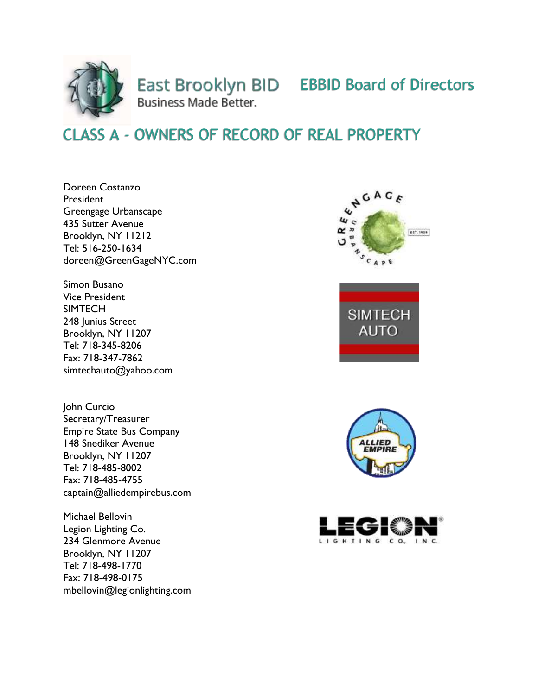

East Brooklyn BID EBBID Board of Directors Business Made Better.

## CLASS A - OWNERS OF RECORD OF REAL PROPERTY

Doreen Costanzo President Greengage Urbanscape 435 Sutter Avenue Brooklyn, NY 11212 Tel: 516-250-1634 doreen@GreenGageNYC.com

Simon Busano Vice President **SIMTECH** 248 Junius Street Brooklyn, NY 11207 Tel: 718-345-8206 Fax: 718-347-7862 simtechauto@yahoo.com

John Curcio Secretary/Treasurer Empire State Bus Company 148 Snediker Avenue Brooklyn, NY 11207 Tel: 718-485-8002 Fax: 718-485-4755 captain@alliedempirebus.com

Michael Bellovin Legion Lighting Co. 234 Glenmore Avenue Brooklyn, NY 11207 Tel: 718-498-1770 Fax: 718-498-0175 mbellovin@legionlighting.com







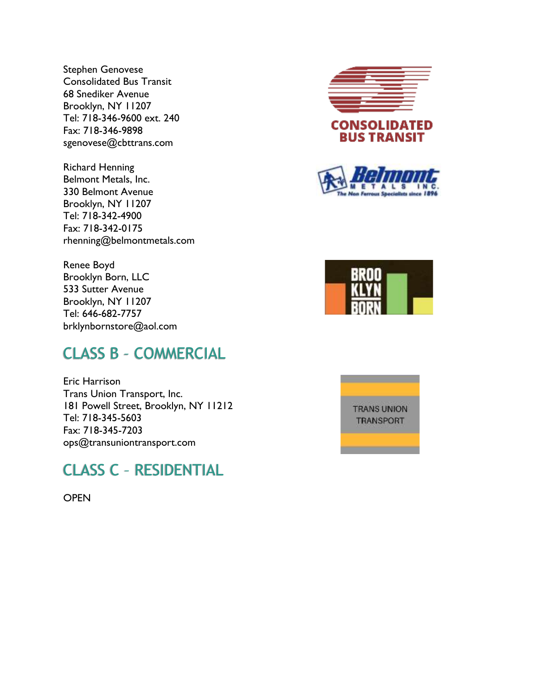Stephen Genovese Consolidated Bus Transit 68 Snediker Avenue Brooklyn, NY 11207 Tel: 718-346-9600 ext. 240 Fax: 718-346-9898 sgenovese@cbttrans.com

Richard Henning Belmont Metals, Inc. 330 Belmont Avenue Brooklyn, NY 11207 Tel: 718-342-4900 Fax: 718-342-0175 rhenning@belmontmetals.com

Renee Boyd Brooklyn Born, LLC 533 Sutter Avenue Brooklyn, NY 11207 Tel: 646-682-7757 brklynbornstore@aol.com

## CLASS B – COMMERCIAL

Eric Harrison Trans Union Transport, Inc. 181 Powell Street, Brooklyn, NY 11212 Tel: 718-345-5603 Fax: 718-345-7203 ops@transuniontransport.com

#### CLASS C – RESIDENTIAL

**OPEN** 







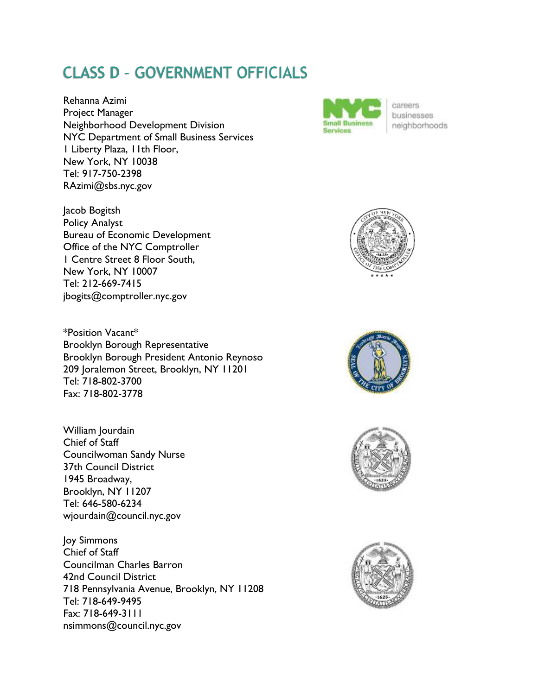# CLASS D – GOVERNMENT OFFICIALS

Rehanna Azimi Project Manager Neighborhood Development Division NYC Department of Small Business Services 1 Liberty Plaza, 11th Floor, New York, NY 10038 Tel: 917-750-2398 RAzimi@sbs.nyc.gov

Bureau of Economic Development Office of the NYC Comptroller 1 Centre Street 8 Floor South,

Jacob Bogitsh Policy Analyst

New York, NY 10007 Tel: 212-669-7415

jbogits@comptroller.nyc.gov



careers businesses neighborhoods



\*Position Vacant\* Brooklyn Borough Representative Brooklyn Borough President Antonio Reynoso 209 Joralemon Street, Brooklyn, NY 11201 Tel: 718-802-3700 Fax: 718-802-3778

William Jourdain Chief of Staff Councilwoman Sandy Nurse 37th Council District 1945 Broadway, Brooklyn, NY 11207 Tel: 646-580-6234 wjourdain@council.nyc.gov

Joy Simmons Chief of Staff Councilman Charles Barron 42nd Council District 718 Pennsylvania Avenue, Brooklyn, NY 11208 Tel: 718-649-9495 Fax: 718-649-3111 nsimmons@council.nyc.gov